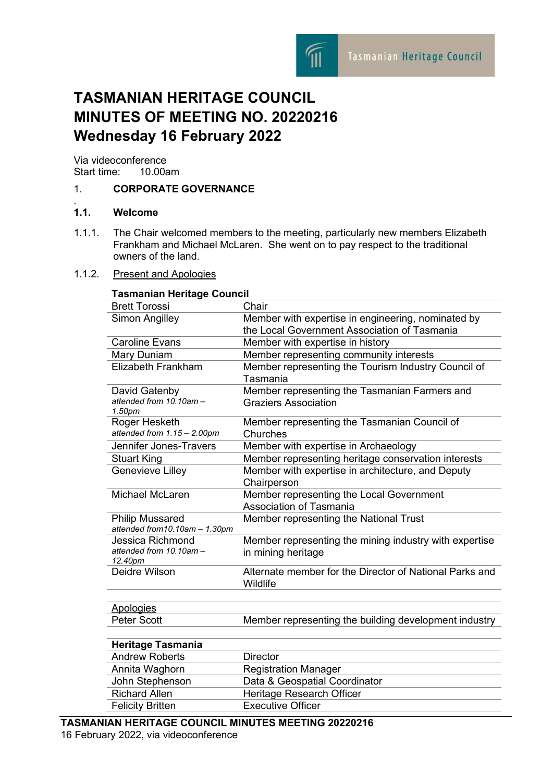

# **TASMANIAN HERITAGE COUNCIL MINUTES OF MEETING NO. 20220216 Wednesday 16 February 2022**

Via videoconference<br>Start time: 10.00am Start time:

### 1. **CORPORATE GOVERNANCE**

#### $1.1.$ **1.1. Welcome**

1.1.1. The Chair welcomed members to the meeting, particularly new members Elizabeth Frankham and Michael McLaren. She went on to pay respect to the traditional owners of the land.

#### 1.1.2. Present and Apologies

| Tasmanian Heritage Council         |                                                         |
|------------------------------------|---------------------------------------------------------|
| <b>Brett Torossi</b>               | Chair                                                   |
| Simon Angilley                     | Member with expertise in engineering, nominated by      |
|                                    | the Local Government Association of Tasmania            |
| <b>Caroline Evans</b>              | Member with expertise in history                        |
| Mary Duniam                        | Member representing community interests                 |
| Elizabeth Frankham                 | Member representing the Tourism Industry Council of     |
|                                    | Tasmania                                                |
| David Gatenby                      | Member representing the Tasmanian Farmers and           |
| attended from 10.10am -<br>1.50pm  | <b>Graziers Association</b>                             |
| Roger Hesketh                      | Member representing the Tasmanian Council of            |
| attended from 1.15 - 2.00pm        | Churches                                                |
| Jennifer Jones-Travers             | Member with expertise in Archaeology                    |
| <b>Stuart King</b>                 | Member representing heritage conservation interests     |
| <b>Genevieve Lilley</b>            | Member with expertise in architecture, and Deputy       |
|                                    | Chairperson                                             |
| <b>Michael McLaren</b>             | Member representing the Local Government                |
|                                    | <b>Association of Tasmania</b>                          |
| <b>Philip Mussared</b>             | Member representing the National Trust                  |
| attended from 10.10am - 1.30pm     |                                                         |
| Jessica Richmond                   | Member representing the mining industry with expertise  |
| attended from 10.10am -<br>12.40pm | in mining heritage                                      |
| Deidre Wilson                      | Alternate member for the Director of National Parks and |
|                                    | Wildlife                                                |
|                                    |                                                         |
| <b>Apologies</b>                   |                                                         |
| Peter Scott                        | Member representing the building development industry   |
|                                    |                                                         |
| <b>Heritage Tasmania</b>           |                                                         |
| <b>Andrew Roberts</b>              | <b>Director</b>                                         |
| Annita Waghorn                     | <b>Registration Manager</b>                             |
| John Stephenson                    | Data & Geospatial Coordinator                           |
| <b>Richard Allen</b>               | Heritage Research Officer                               |
| <b>Felicity Britten</b>            | <b>Executive Officer</b>                                |

#### **TASMANIAN HERITAGE COUNCIL MINUTES MEETING 20220216** 16 February 2022, via videoconference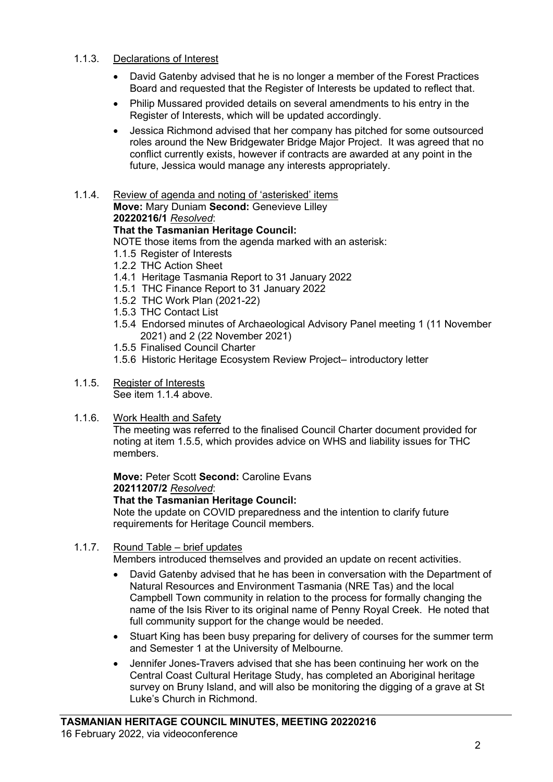#### 1.1.3. Declarations of Interest

- David Gatenby advised that he is no longer a member of the Forest Practices Board and requested that the Register of Interests be updated to reflect that.
- Philip Mussared provided details on several amendments to his entry in the Register of Interests, which will be updated accordingly.
- Jessica Richmond advised that her company has pitched for some outsourced roles around the New Bridgewater Bridge Major Project. It was agreed that no conflict currently exists, however if contracts are awarded at any point in the future, Jessica would manage any interests appropriately.
- 1.1.4. Review of agenda and noting of 'asterisked' items **Move:** Mary Duniam **Second:** Genevieve Lilley

**20220216/1** *Resolved*:

#### **That the Tasmanian Heritage Council:**

NOTE those items from the agenda marked with an asterisk:

- 1.1.5 Register of Interests
- 1.2.2 THC Action Sheet
- 1.4.1 Heritage Tasmania Report to 31 January 2022
- 1.5.1 THC Finance Report to 31 January 2022
- 1.5.2 THC Work Plan (2021-22)
- 1.5.3 THC Contact List
- 1.5.4 Endorsed minutes of Archaeological Advisory Panel meeting 1 (11 November 2021) and 2 (22 November 2021)
- 1.5.5 Finalised Council Charter
- 1.5.6 Historic Heritage Ecosystem Review Project– introductory letter

#### 1.1.5. Register of Interests

See item 1.1.4 above.

1.1.6. Work Health and Safety

The meeting was referred to the finalised Council Charter document provided for noting at item 1.5.5, which provides advice on WHS and liability issues for THC members.

**Move:** Peter Scott **Second:** Caroline Evans **20211207/2** *Resolved*:

**That the Tasmanian Heritage Council:**

Note the update on COVID preparedness and the intention to clarify future requirements for Heritage Council members.

#### 1.1.7. Round Table – brief updates

Members introduced themselves and provided an update on recent activities.

- David Gatenby advised that he has been in conversation with the Department of Natural Resources and Environment Tasmania (NRE Tas) and the local Campbell Town community in relation to the process for formally changing the name of the Isis River to its original name of Penny Royal Creek. He noted that full community support for the change would be needed.
- Stuart King has been busy preparing for delivery of courses for the summer term and Semester 1 at the University of Melbourne.
- Jennifer Jones-Travers advised that she has been continuing her work on the Central Coast Cultural Heritage Study, has completed an Aboriginal heritage survey on Bruny Island, and will also be monitoring the digging of a grave at St Luke's Church in Richmond.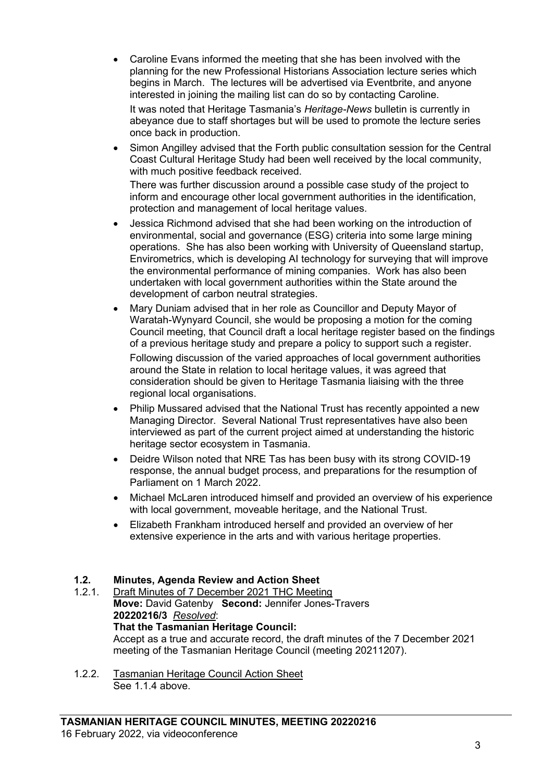• Caroline Evans informed the meeting that she has been involved with the planning for the new Professional Historians Association lecture series which begins in March. The lectures will be advertised via Eventbrite, and anyone interested in joining the mailing list can do so by contacting Caroline.

It was noted that Heritage Tasmania's *Heritage-News* bulletin is currently in abeyance due to staff shortages but will be used to promote the lecture series once back in production.

• Simon Angilley advised that the Forth public consultation session for the Central Coast Cultural Heritage Study had been well received by the local community, with much positive feedback received.

There was further discussion around a possible case study of the project to inform and encourage other local government authorities in the identification, protection and management of local heritage values.

- Jessica Richmond advised that she had been working on the introduction of environmental, social and governance (ESG) criteria into some large mining operations. She has also been working with University of Queensland startup, Envirometrics, which is developing AI technology for surveying that will improve the environmental performance of mining companies. Work has also been undertaken with local government authorities within the State around the development of carbon neutral strategies.
- Mary Duniam advised that in her role as Councillor and Deputy Mayor of Waratah-Wynyard Council, she would be proposing a motion for the coming Council meeting, that Council draft a local heritage register based on the findings of a previous heritage study and prepare a policy to support such a register. Following discussion of the varied approaches of local government authorities around the State in relation to local heritage values, it was agreed that consideration should be given to Heritage Tasmania liaising with the three regional local organisations.
- Philip Mussared advised that the National Trust has recently appointed a new Managing Director. Several National Trust representatives have also been interviewed as part of the current project aimed at understanding the historic heritage sector ecosystem in Tasmania.
- Deidre Wilson noted that NRE Tas has been busy with its strong COVID-19 response, the annual budget process, and preparations for the resumption of Parliament on 1 March 2022.
- Michael McLaren introduced himself and provided an overview of his experience with local government, moveable heritage, and the National Trust.
- Elizabeth Frankham introduced herself and provided an overview of her extensive experience in the arts and with various heritage properties.

# **1.2. Minutes, Agenda Review and Action Sheet**

- Draft Minutes of 7 December 2021 THC Meeting **Move:** David Gatenby **Second:** Jennifer Jones-Travers **20220216/3** *Resolved*: **That the Tasmanian Heritage Council:** Accept as a true and accurate record, the draft minutes of the 7 December 2021 meeting of the Tasmanian Heritage Council (meeting 20211207).
- 1.2.2. Tasmanian Heritage Council Action Sheet See 1.1.4 above.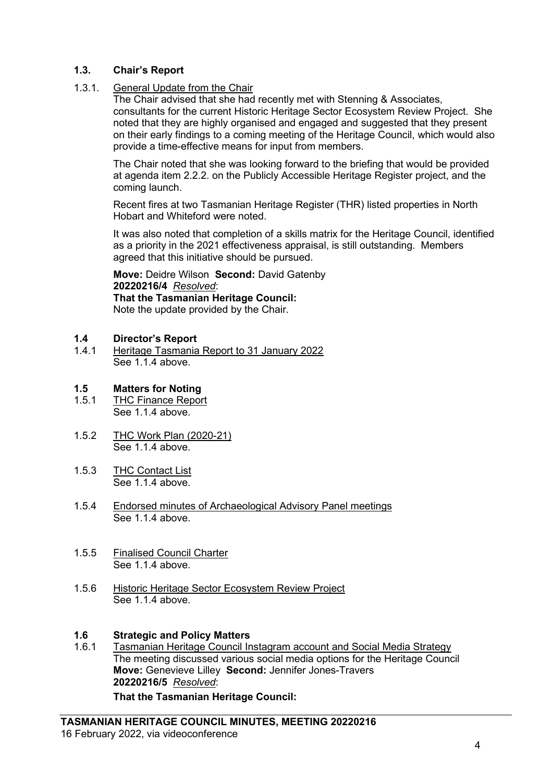#### **1.3. Chair's Report**

1.3.1. General Update from the Chair

The Chair advised that she had recently met with Stenning & Associates, consultants for the current Historic Heritage Sector Ecosystem Review Project. She noted that they are highly organised and engaged and suggested that they present on their early findings to a coming meeting of the Heritage Council, which would also provide a time-effective means for input from members.

The Chair noted that she was looking forward to the briefing that would be provided at agenda item 2.2.2. on the Publicly Accessible Heritage Register project, and the coming launch.

Recent fires at two Tasmanian Heritage Register (THR) listed properties in North Hobart and Whiteford were noted.

It was also noted that completion of a skills matrix for the Heritage Council, identified as a priority in the 2021 effectiveness appraisal, is still outstanding. Members agreed that this initiative should be pursued.

**Move:** Deidre Wilson **Second:** David Gatenby **20220216/4** *Resolved*: **That the Tasmanian Heritage Council:** Note the update provided by the Chair.

- **1.4 Director's Report**
- 1.4.1 Heritage Tasmania Report to 31 January 2022 See 1.1.4 above.

# **1.5 Matters for Noting**

- THC Finance Report See 1.1.4 above.
- 1.5.2 THC Work Plan (2020-21) See 1.1.4 above.
- 1.5.3 THC Contact List See 1.1.4 above.
- 1.5.4 Endorsed minutes of Archaeological Advisory Panel meetings See 1.1.4 above.
- 1.5.5 Finalised Council Charter See 1.1.4 above.
- 1.5.6 Historic Heritage Sector Ecosystem Review Project See 1.1.4 above.

# **1.6 Strategic and Policy Matters**

Tasmanian Heritage Council Instagram account and Social Media Strategy The meeting discussed various social media options for the Heritage Council **Move:** Genevieve Lilley **Second:** Jennifer Jones-Travers **20220216/5** *Resolved*: **That the Tasmanian Heritage Council:**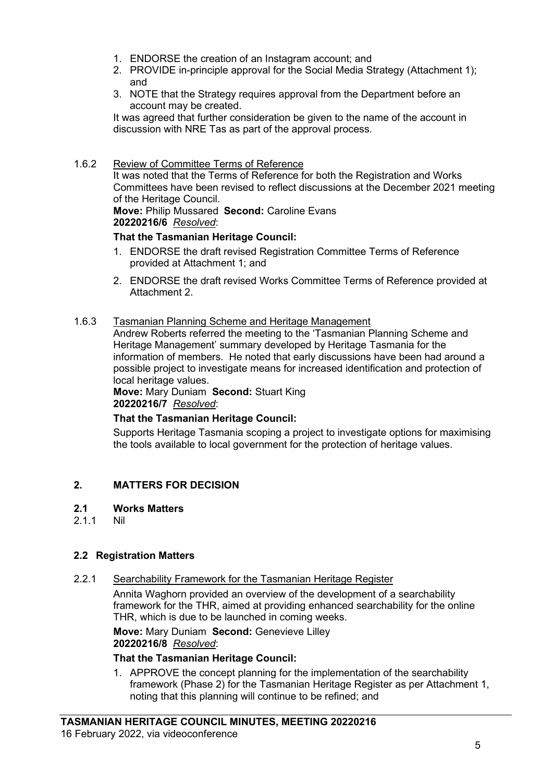- 1. ENDORSE the creation of an Instagram account; and
- 2. PROVIDE in-principle approval for the Social Media Strategy (Attachment 1); and
- 3. NOTE that the Strategy requires approval from the Department before an account may be created.

It was agreed that further consideration be given to the name of the account in discussion with NRE Tas as part of the approval process.

#### 1.6.2 Review of Committee Terms of Reference

It was noted that the Terms of Reference for both the Registration and Works Committees have been revised to reflect discussions at the December 2021 meeting of the Heritage Council.

**Move:** Philip Mussared **Second:** Caroline Evans **20220216/6** *Resolved*:

#### **That the Tasmanian Heritage Council:**

- 1. ENDORSE the draft revised Registration Committee Terms of Reference provided at Attachment 1; and
- 2. ENDORSE the draft revised Works Committee Terms of Reference provided at Attachment 2.

#### 1.6.3 Tasmanian Planning Scheme and Heritage Management

Andrew Roberts referred the meeting to the 'Tasmanian Planning Scheme and Heritage Management' summary developed by Heritage Tasmania for the information of members. He noted that early discussions have been had around a possible project to investigate means for increased identification and protection of local heritage values.

**Move:** Mary Duniam **Second:** Stuart King **20220216/7** *Resolved*:

#### **That the Tasmanian Heritage Council:**

Supports Heritage Tasmania scoping a project to investigate options for maximising the tools available to local government for the protection of heritage values.

#### **2. MATTERS FOR DECISION**

#### **2.1 Works Matters**

2.1.1 Nil

#### **2.2 Registration Matters**

2.2.1 Searchability Framework for the Tasmanian Heritage Register

Annita Waghorn provided an overview of the development of a searchability framework for the THR, aimed at providing enhanced searchability for the online THR, which is due to be launched in coming weeks.

**Move:** Mary Duniam **Second:** Genevieve Lilley **20220216/8** *Resolved*:

#### **That the Tasmanian Heritage Council:**

1. APPROVE the concept planning for the implementation of the searchability framework (Phase 2) for the Tasmanian Heritage Register as per Attachment 1, noting that this planning will continue to be refined; and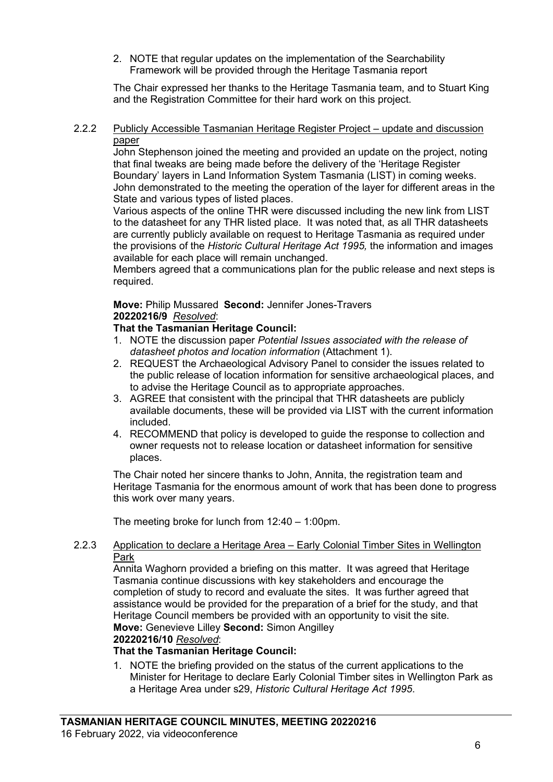2. NOTE that regular updates on the implementation of the Searchability Framework will be provided through the Heritage Tasmania report

The Chair expressed her thanks to the Heritage Tasmania team, and to Stuart King and the Registration Committee for their hard work on this project.

#### 2.2.2 Publicly Accessible Tasmanian Heritage Register Project – update and discussion paper

John Stephenson joined the meeting and provided an update on the project, noting that final tweaks are being made before the delivery of the 'Heritage Register Boundary' layers in Land Information System Tasmania (LIST) in coming weeks. John demonstrated to the meeting the operation of the layer for different areas in the State and various types of listed places.

Various aspects of the online THR were discussed including the new link from LIST to the datasheet for any THR listed place. It was noted that, as all THR datasheets are currently publicly available on request to Heritage Tasmania as required under the provisions of the *Historic Cultural Heritage Act 1995,* the information and images available for each place will remain unchanged.

Members agreed that a communications plan for the public release and next steps is required.

#### **Move:** Philip Mussared **Second:** Jennifer Jones-Travers **20220216/9** *Resolved*:

#### **That the Tasmanian Heritage Council:**

- 1. NOTE the discussion paper *Potential Issues associated with the release of datasheet photos and location information* (Attachment 1).
- 2. REQUEST the Archaeological Advisory Panel to consider the issues related to the public release of location information for sensitive archaeological places, and to advise the Heritage Council as to appropriate approaches.
- 3. AGREE that consistent with the principal that THR datasheets are publicly available documents, these will be provided via LIST with the current information included.
- 4. RECOMMEND that policy is developed to guide the response to collection and owner requests not to release location or datasheet information for sensitive places.

The Chair noted her sincere thanks to John, Annita, the registration team and Heritage Tasmania for the enormous amount of work that has been done to progress this work over many years.

The meeting broke for lunch from 12:40 – 1:00pm.

#### 2.2.3 Application to declare a Heritage Area – Early Colonial Timber Sites in Wellington Park

Annita Waghorn provided a briefing on this matter. It was agreed that Heritage Tasmania continue discussions with key stakeholders and encourage the completion of study to record and evaluate the sites. It was further agreed that assistance would be provided for the preparation of a brief for the study, and that Heritage Council members be provided with an opportunity to visit the site. **Move:** Genevieve Lilley **Second:** Simon Angilley

## **20220216/10** *Resolved*:

### **That the Tasmanian Heritage Council:**

1. NOTE the briefing provided on the status of the current applications to the Minister for Heritage to declare Early Colonial Timber sites in Wellington Park as a Heritage Area under s29, *Historic Cultural Heritage Act 1995*.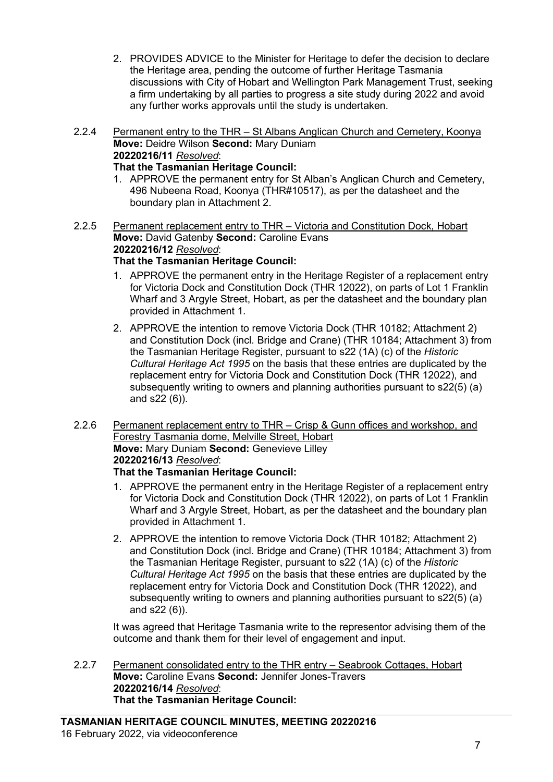- 2. PROVIDES ADVICE to the Minister for Heritage to defer the decision to declare the Heritage area, pending the outcome of further Heritage Tasmania discussions with City of Hobart and Wellington Park Management Trust, seeking a firm undertaking by all parties to progress a site study during 2022 and avoid any further works approvals until the study is undertaken.
- 2.2.4 Permanent entry to the THR St Albans Anglican Church and Cemetery, Koonya **Move:** Deidre Wilson **Second:** Mary Duniam **20220216/11** *Resolved*:

### **That the Tasmanian Heritage Council:**

- 1. APPROVE the permanent entry for St Alban's Anglican Church and Cemetery, 496 Nubeena Road, Koonya (THR#10517), as per the datasheet and the boundary plan in Attachment 2.
- 2.2.5 Permanent replacement entry to THR Victoria and Constitution Dock, Hobart **Move:** David Gatenby **Second:** Caroline Evans **20220216/12** *Resolved*: **That the Tasmanian Heritage Council:**
	- 1. APPROVE the permanent entry in the Heritage Register of a replacement entry for Victoria Dock and Constitution Dock (THR 12022), on parts of Lot 1 Franklin Wharf and 3 Argyle Street, Hobart, as per the datasheet and the boundary plan provided in Attachment 1.
	- 2. APPROVE the intention to remove Victoria Dock (THR 10182; Attachment 2) and Constitution Dock (incl. Bridge and Crane) (THR 10184; Attachment 3) from the Tasmanian Heritage Register, pursuant to s22 (1A) (c) of the *Historic Cultural Heritage Act 1995* on the basis that these entries are duplicated by the replacement entry for Victoria Dock and Constitution Dock (THR 12022), and subsequently writing to owners and planning authorities pursuant to s22(5) (a) and s22 (6)).
- 2.2.6 Permanent replacement entry to THR Crisp & Gunn offices and workshop, and Forestry Tasmania dome, Melville Street, Hobart **Move:** Mary Duniam **Second:** Genevieve Lilley **20220216/13** *Resolved*: **That the Tasmanian Heritage Council:**
	- 1. APPROVE the permanent entry in the Heritage Register of a replacement entry for Victoria Dock and Constitution Dock (THR 12022), on parts of Lot 1 Franklin Wharf and 3 Argyle Street, Hobart, as per the datasheet and the boundary plan provided in Attachment 1.
	- 2. APPROVE the intention to remove Victoria Dock (THR 10182; Attachment 2) and Constitution Dock (incl. Bridge and Crane) (THR 10184; Attachment 3) from the Tasmanian Heritage Register, pursuant to s22 (1A) (c) of the *Historic Cultural Heritage Act 1995* on the basis that these entries are duplicated by the replacement entry for Victoria Dock and Constitution Dock (THR 12022), and subsequently writing to owners and planning authorities pursuant to s22(5) (a) and s22 (6)).

It was agreed that Heritage Tasmania write to the representor advising them of the outcome and thank them for their level of engagement and input.

2.2.7 Permanent consolidated entry to the THR entry – Seabrook Cottages, Hobart **Move:** Caroline Evans **Second:** Jennifer Jones-Travers **20220216/14** *Resolved*: **That the Tasmanian Heritage Council:**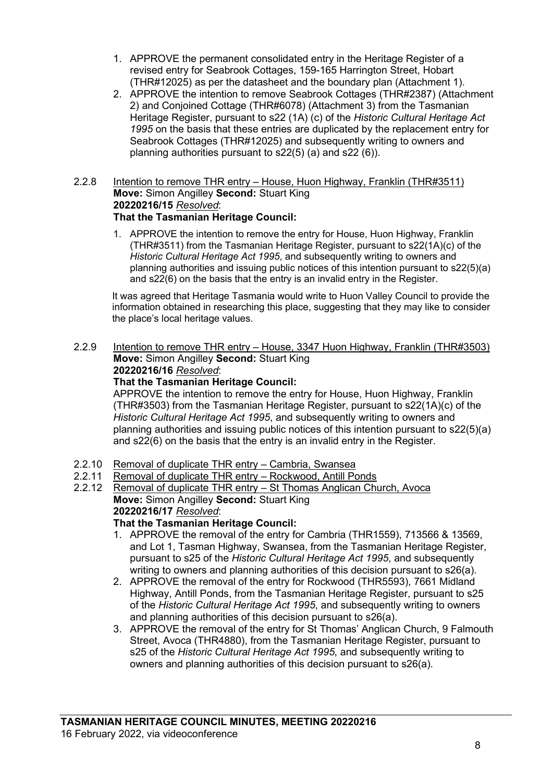- 1. APPROVE the permanent consolidated entry in the Heritage Register of a revised entry for Seabrook Cottages, 159-165 Harrington Street, Hobart (THR#12025) as per the datasheet and the boundary plan (Attachment 1).
- 2. APPROVE the intention to remove Seabrook Cottages (THR#2387) (Attachment 2) and Conjoined Cottage (THR#6078) (Attachment 3) from the Tasmanian Heritage Register, pursuant to s22 (1A) (c) of the *Historic Cultural Heritage Act 1995* on the basis that these entries are duplicated by the replacement entry for Seabrook Cottages (THR#12025) and subsequently writing to owners and planning authorities pursuant to s22(5) (a) and s22 (6)).

#### 2.2.8 Intention to remove THR entry – House, Huon Highway, Franklin (THR#3511) **Move:** Simon Angilley **Second:** Stuart King **20220216/15** *Resolved*: **That the Tasmanian Heritage Council:**

1. APPROVE the intention to remove the entry for House, Huon Highway, Franklin (THR#3511) from the Tasmanian Heritage Register, pursuant to s22(1A)(c) of the *Historic Cultural Heritage Act 1995*, and subsequently writing to owners and planning authorities and issuing public notices of this intention pursuant to s22(5)(a) and s22(6) on the basis that the entry is an invalid entry in the Register.

It was agreed that Heritage Tasmania would write to Huon Valley Council to provide the information obtained in researching this place, suggesting that they may like to consider the place's local heritage values.

2.2.9 Intention to remove THR entry – House, 3347 Huon Highway, Franklin (THR#3503) **Move:** Simon Angilley **Second:** Stuart King **20220216/16** *Resolved*:

### **That the Tasmanian Heritage Council:**

APPROVE the intention to remove the entry for House, Huon Highway, Franklin (THR#3503) from the Tasmanian Heritage Register, pursuant to s22(1A)(c) of the *Historic Cultural Heritage Act 1995*, and subsequently writing to owners and planning authorities and issuing public notices of this intention pursuant to s22(5)(a) and s22(6) on the basis that the entry is an invalid entry in the Register.

- 2.2.10 Removal of duplicate THR entry Cambria, Swansea<br>2.2.11 Removal of duplicate THR entry Rockwood, Antill Po
- Removal of duplicate THR entry Rockwood, Antill Ponds
- 2.2.12 Removal of duplicate THR entry St Thomas Anglican Church, Avoca **Move:** Simon Angilley **Second:** Stuart King **20220216/17** *Resolved*:

### **That the Tasmanian Heritage Council:**

- 1. APPROVE the removal of the entry for Cambria (THR1559), 713566 & 13569, and Lot 1, Tasman Highway, Swansea, from the Tasmanian Heritage Register, pursuant to s25 of the *Historic Cultural Heritage Act 1995*, and subsequently writing to owners and planning authorities of this decision pursuant to s26(a).
- 2. APPROVE the removal of the entry for Rockwood (THR5593), 7661 Midland Highway, Antill Ponds, from the Tasmanian Heritage Register, pursuant to s25 of the *Historic Cultural Heritage Act 1995*, and subsequently writing to owners and planning authorities of this decision pursuant to s26(a).
- 3. APPROVE the removal of the entry for St Thomas' Anglican Church, 9 Falmouth Street, Avoca (THR4880), from the Tasmanian Heritage Register, pursuant to s25 of the *Historic Cultural Heritage Act 1995*, and subsequently writing to owners and planning authorities of this decision pursuant to s26(a).